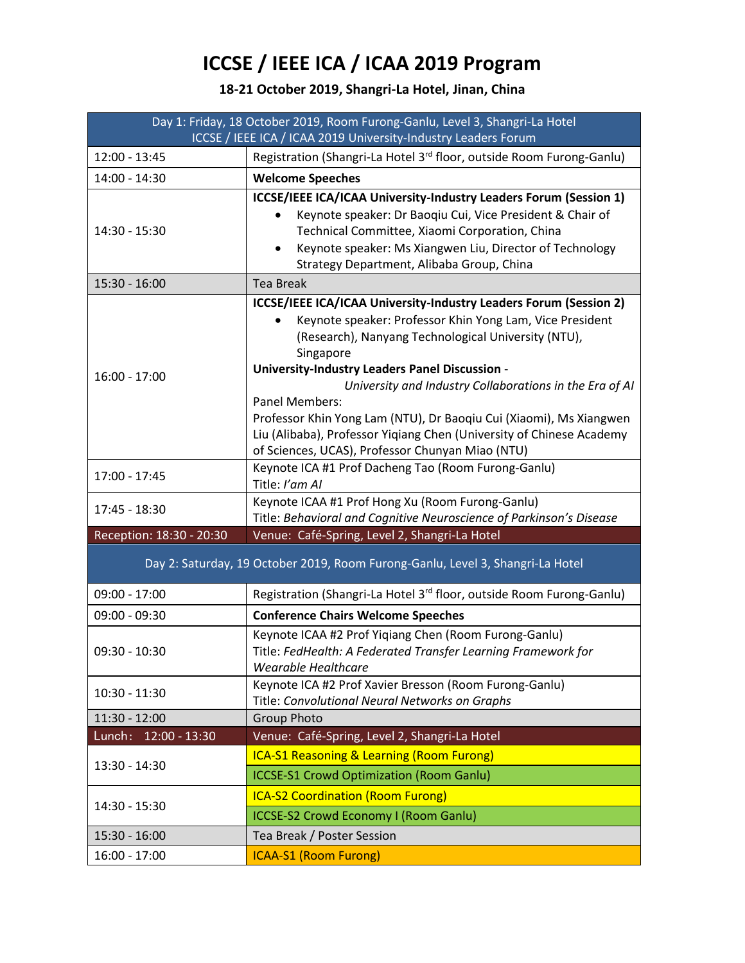## **ICCSE / IEEE ICA / ICAA 2019 Program**

## **18-21 October 2019, Shangri-La Hotel, Jinan, China**

| Day 1: Friday, 18 October 2019, Room Furong-Ganlu, Level 3, Shangri-La Hotel   |                                                                                                                                                                                                                                                                                                                                                                                                                                                                                                                                           |
|--------------------------------------------------------------------------------|-------------------------------------------------------------------------------------------------------------------------------------------------------------------------------------------------------------------------------------------------------------------------------------------------------------------------------------------------------------------------------------------------------------------------------------------------------------------------------------------------------------------------------------------|
| ICCSE / IEEE ICA / ICAA 2019 University-Industry Leaders Forum                 |                                                                                                                                                                                                                                                                                                                                                                                                                                                                                                                                           |
| 12:00 - 13:45                                                                  | Registration (Shangri-La Hotel 3rd floor, outside Room Furong-Ganlu)                                                                                                                                                                                                                                                                                                                                                                                                                                                                      |
| 14:00 - 14:30                                                                  | <b>Welcome Speeches</b>                                                                                                                                                                                                                                                                                                                                                                                                                                                                                                                   |
| 14:30 - 15:30                                                                  | ICCSE/IEEE ICA/ICAA University-Industry Leaders Forum (Session 1)<br>Keynote speaker: Dr Baoqiu Cui, Vice President & Chair of<br>Technical Committee, Xiaomi Corporation, China<br>Keynote speaker: Ms Xiangwen Liu, Director of Technology<br>$\bullet$<br>Strategy Department, Alibaba Group, China                                                                                                                                                                                                                                    |
| 15:30 - 16:00                                                                  | <b>Tea Break</b>                                                                                                                                                                                                                                                                                                                                                                                                                                                                                                                          |
| $16:00 - 17:00$                                                                | ICCSE/IEEE ICA/ICAA University-Industry Leaders Forum (Session 2)<br>Keynote speaker: Professor Khin Yong Lam, Vice President<br>(Research), Nanyang Technological University (NTU),<br>Singapore<br><b>University-Industry Leaders Panel Discussion -</b><br>University and Industry Collaborations in the Era of AI<br>Panel Members:<br>Professor Khin Yong Lam (NTU), Dr Baoqiu Cui (Xiaomi), Ms Xiangwen<br>Liu (Alibaba), Professor Yiqiang Chen (University of Chinese Academy<br>of Sciences, UCAS), Professor Chunyan Miao (NTU) |
| 17:00 - 17:45                                                                  | Keynote ICA #1 Prof Dacheng Tao (Room Furong-Ganlu)<br>Title: I'am AI                                                                                                                                                                                                                                                                                                                                                                                                                                                                     |
| 17:45 - 18:30                                                                  | Keynote ICAA #1 Prof Hong Xu (Room Furong-Ganlu)<br>Title: Behavioral and Cognitive Neuroscience of Parkinson's Disease                                                                                                                                                                                                                                                                                                                                                                                                                   |
| Reception: 18:30 - 20:30                                                       | Venue: Café-Spring, Level 2, Shangri-La Hotel                                                                                                                                                                                                                                                                                                                                                                                                                                                                                             |
| Day 2: Saturday, 19 October 2019, Room Furong-Ganlu, Level 3, Shangri-La Hotel |                                                                                                                                                                                                                                                                                                                                                                                                                                                                                                                                           |
| $09:00 - 17:00$                                                                | Registration (Shangri-La Hotel 3rd floor, outside Room Furong-Ganlu)                                                                                                                                                                                                                                                                                                                                                                                                                                                                      |
| $09:00 - 09:30$                                                                | <b>Conference Chairs Welcome Speeches</b>                                                                                                                                                                                                                                                                                                                                                                                                                                                                                                 |
| $09:30 - 10:30$                                                                | Keynote ICAA #2 Prof Yiqiang Chen (Room Furong-Ganlu)<br>Title: FedHealth: A Federated Transfer Learning Framework for<br>Wearable Healthcare                                                                                                                                                                                                                                                                                                                                                                                             |
| $10:30 - 11:30$                                                                | Keynote ICA #2 Prof Xavier Bresson (Room Furong-Ganlu)<br>Title: Convolutional Neural Networks on Graphs                                                                                                                                                                                                                                                                                                                                                                                                                                  |
| 11:30 - 12:00                                                                  | <b>Group Photo</b>                                                                                                                                                                                                                                                                                                                                                                                                                                                                                                                        |
| Lunch: 12:00 - 13:30                                                           | Venue: Café-Spring, Level 2, Shangri-La Hotel                                                                                                                                                                                                                                                                                                                                                                                                                                                                                             |
| 13:30 - 14:30                                                                  | <b>ICA-S1 Reasoning &amp; Learning (Room Furong)</b><br><b>ICCSE-S1 Crowd Optimization (Room Ganlu)</b>                                                                                                                                                                                                                                                                                                                                                                                                                                   |
| 14:30 - 15:30                                                                  | <b>ICA-S2 Coordination (Room Furong)</b><br><b>ICCSE-S2 Crowd Economy I (Room Ganlu)</b>                                                                                                                                                                                                                                                                                                                                                                                                                                                  |
| 15:30 - 16:00                                                                  | Tea Break / Poster Session                                                                                                                                                                                                                                                                                                                                                                                                                                                                                                                |
| $16:00 - 17:00$                                                                | <b>ICAA-S1 (Room Furong)</b>                                                                                                                                                                                                                                                                                                                                                                                                                                                                                                              |